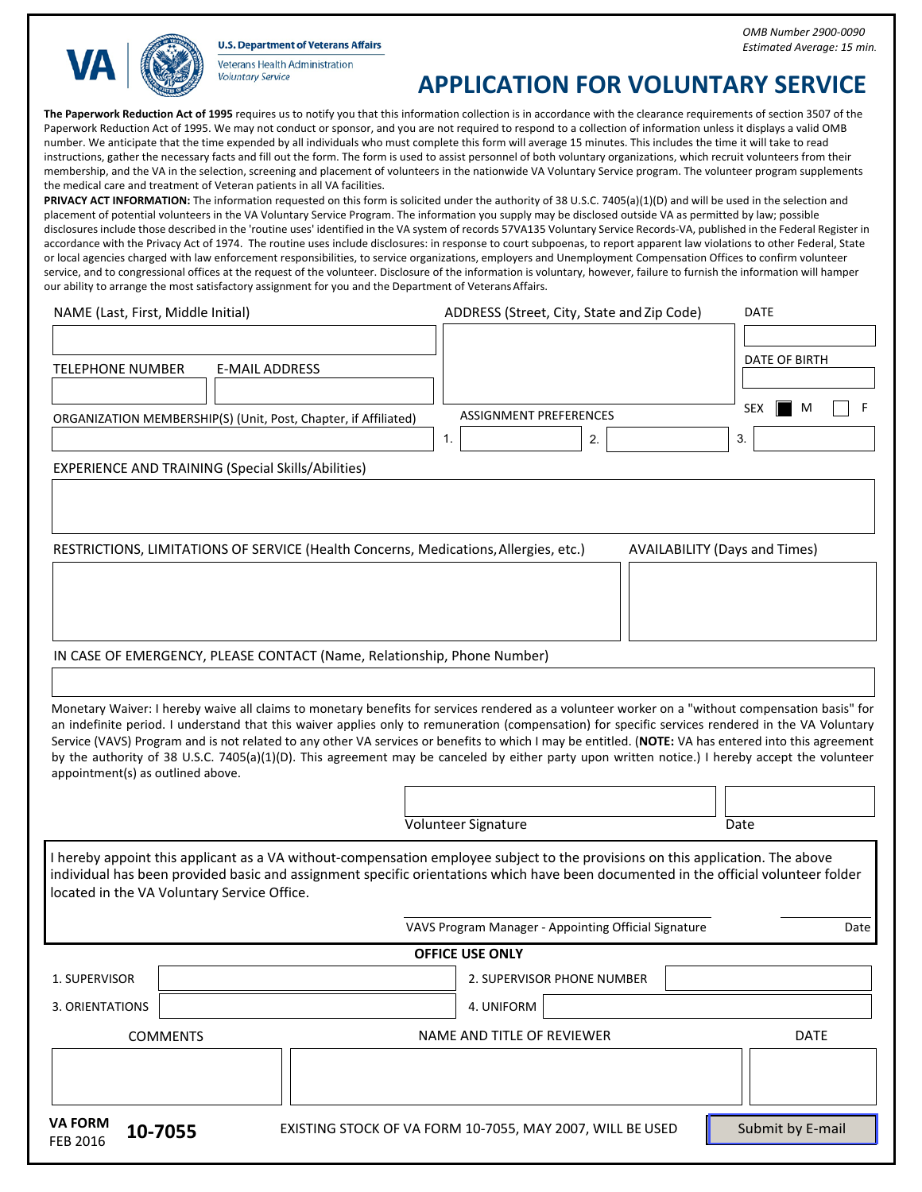**U.S. Department of Veterans Affairs** 



Veterans Health Administration **Voluntary Service** 

## **APPLICATION FOR VOLUNTARY SERVICE**

**The Paperwork Reduction Act of 1995** requires us to notify you that this information collection is in accordance with the clearance requirements of section 3507 of the Paperwork Reduction Act of 1995. We may not conduct or sponsor, and you are not required to respond to a collection of information unless it displays a valid OMB number. We anticipate that the time expended by all individuals who must complete this form will average 15 minutes. This includes the time it will take to read instructions, gather the necessary facts and fill out the form. The form is used to assist personnel of both voluntary organizations, which recruit volunteers from their membership, and the VA in the selection, screening and placement of volunteers in the nationwide VA Voluntary Service program. The volunteer program supplements the medical care and treatment of Veteran patients in all VA facilities.

PRIVACY ACT INFORMATION: The information requested on this form is solicited under the authority of 38 U.S.C. 7405(a)(1)(D) and will be used in the selection and placement of potential volunteers in the VA Voluntary Service Program. The information you supply may be disclosed outside VA as permitted by law; possible disclosures include those described in the 'routine uses' identified in the VA system of records 57VA135 Voluntary Service Records-VA, published in the Federal Register in accordance with the Privacy Act of 1974. The routine uses include disclosures: in response to court subpoenas, to report apparent law violations to other Federal, State or local agencies charged with law enforcement responsibilities, to service organizations, employers and Unemployment Compensation Offices to confirm volunteer service, and to congressional offices at the request of the volunteer. Disclosure of the information is voluntary, however, failure to furnish the information will hamper our ability to arrange the most satisfactory assignment for you and the Department of Veterans Affairs.

| NAME (Last, First, Middle Initial)                              | ADDRESS (Street, City, State and Zip Code) | <b>DATE</b>     |
|-----------------------------------------------------------------|--------------------------------------------|-----------------|
| E-MAIL ADDRESS<br>TELEPHONE NUMBER                              |                                            | DATE OF BIRTH   |
| ORGANIZATION MEMBERSHIP(S) (Unit, Post, Chapter, if Affiliated) | ASSIGNMENT PREFERENCES                     | <b>SEX</b><br>M |
|                                                                 | $\overline{2}$ .                           | -3.             |
| <b>EXPERIENCE AND TRAINING (Special Skills/Abilities)</b>       |                                            |                 |

RESTRICTIONS, LIMITATIONS OF SERVICE (Health Concerns, Medications,Allergies, etc.) AVAILABILITY (Days and Times)

IN CASE OF EMERGENCY, PLEASE CONTACT (Name, Relationship, Phone Number)

Monetary Waiver: I hereby waive all claims to monetary benefits for services rendered as a volunteer worker on a "without compensation basis" for an indefinite period. I understand that this waiver applies only to remuneration (compensation) for specific services rendered in the VA Voluntary Service (VAVS) Program and is not related to any other VA services or benefits to which I may be entitled. (**NOTE:** VA has entered into this agreement by the authority of 38 U.S.C. 7405(a)(1)(D). This agreement may be canceled by either party upon written notice.) I hereby accept the volunteer appointment(s) as outlined above.

Volunteer Signature Date

I hereby appoint this applicant as a VA without-compensation employee subject to the provisions on this application. The above individual has been provided basic and assignment specific orientations which have been documented in the official volunteer folder located in the VA Voluntary Service Office.

VAVS Program Manager - Appointing Official Signature **Date** Date

## **OFFICE USE ONLY**

1. SUPERVISOR 2. SUPERVISOR PHONE NUMBER 3. ORIENTATIONS 4. UNIFORM COMMENTS DATE NAME AND TITLE OF REVIEWER DATE

**VA FORM**

**THE TORM 10-7055** EXISTING STOCK OF VA FORM 10-7055, MAY 2007, WILL BE USED